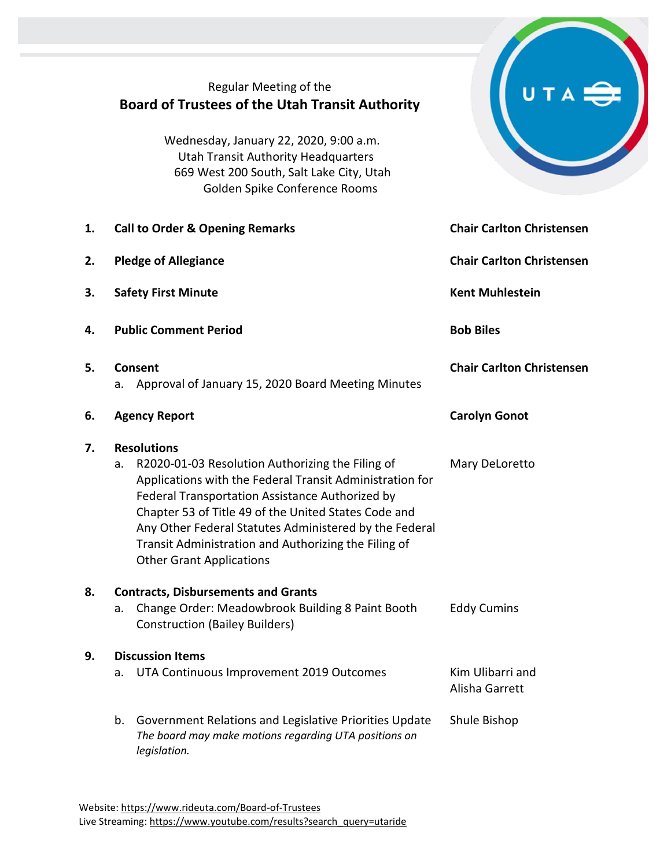# Regular Meeting of the **Board of Trustees of the Utah Transit Authority**

Wednesday, January 22, 2020, 9:00 a.m. Utah Transit Authority Headquarters 669 West 200 South, Salt Lake City, Utah Golden Spike Conference Rooms